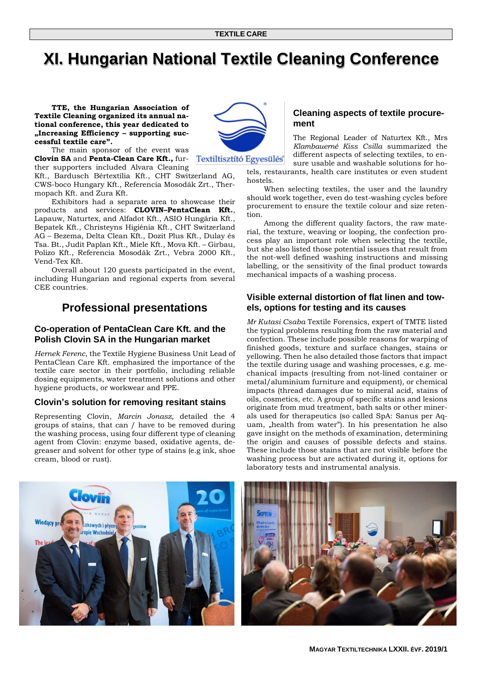# **XI. Hungarian National Textile Cleaning Conference**

**TTE, the Hungarian Association of Textile Cleaning organized its annual national conference, this year dedicated to "Increasing Efficiency – supporting successful textile care".** 

The main sponsor of the event was **Clovin SA** and **Penta-Clean Care Kft.,** fur-

ther supporters included Alvara Cleaning Kft., Bardusch Bértextília Kft., CHT Switzerland AG, CWS-boco Hungary Kft., Referencia Mosodák Zrt., Thermopach Kft. and Zura Kft.

Exhibitors had a separate area to showcase their products and services: **CLOVIN–PentaClean Kft.**, Lapauw, Naturtex, and Alfadot Kft., ASIO Hungária Kft., Bepatek Kft., Christeyns Higiénia Kft., CHT Switzerland AG – Bezema, Delta Clean Kft., Dozit Plus Kft., Dulay és Tsa. Bt., Judit Paplan Kft., Miele Kft., Mova Kft. – Girbau, Polizo Kft., Referencia Mosodák Zrt., Vebra 2000 Kft., Vend-Tex Kft.

Overall about 120 guests participated in the event, including Hungarian and regional experts from several CEE countries.

# **Professional presentations**

### **Co-operation of PentaClean Care Kft. and the Polish Clovin SA in the Hungarian market**

*Hernek Ferenc*, the Textile Hygiene Business Unit Lead of PentaClean Care Kft. emphasized the importance of the textile care sector in their portfolio, including reliable dosing equipments, water treatment solutions and other hygiene products, or workwear and PPE.

### **Clovin's solution for removing resitant stains**

Representing Clovin, *Marcin Jonasz*, detailed the 4 groups of stains, that can / have to be removed during the washing process, using four different type of cleaning agent from Clovin: enzyme based, oxidative agents, degreaser and solvent for other type of stains (e.g ink, shoe cream, blood or rust).



The Regional Leader of Naturtex Kft., Mrs *Klambauerné Kiss Csilla* summarized the different aspects of selecting textiles, to ensure usable and washable solutions for hotels, restaurants, health care institutes or even student

When selecting textiles, the user and the laundry should work together, even do test-washing cycles before procurement to ensure the textile colour and size retention.

Among the different quality factors, the raw material, the texture, weaving or looping, the confection process play an important role when selecting the textile, but she also listed those potential issues that result from the not-well defined washing instructions and missing labelling, or the sensitivity of the final product towards mechanical impacts of a washing process.

#### **Visible external distortion of flat linen and towels, options for testing and its causes**

*Mr Kutasi Csaba* Textile Forensics, expert of TMTE listed the typical problems resulting from the raw material and confection. These include possible reasons for warping of finished goods, texture and surface changes, stains or yellowing. Then he also detailed those factors that impact the textile during usage and washing processes, e.g. mechanical impacts (resulting from not-lined container or metal/aluminium furniture and equipment), or chemical impacts (thread damages due to mineral acid, stains of oils, cosmetics, etc. A group of specific stains and lesions originate from mud treatment, bath salts or other minerals used for therapeutics (so called SpA: Sanus per Aquam, "health from water"). In his presentation he also gave insight on the methods of examination, determining the origin and causes of possible defects and stains. These include those stains that are not visible before the washing process but are activated during it, options for laboratory tests and instrumental analysis.







hostels.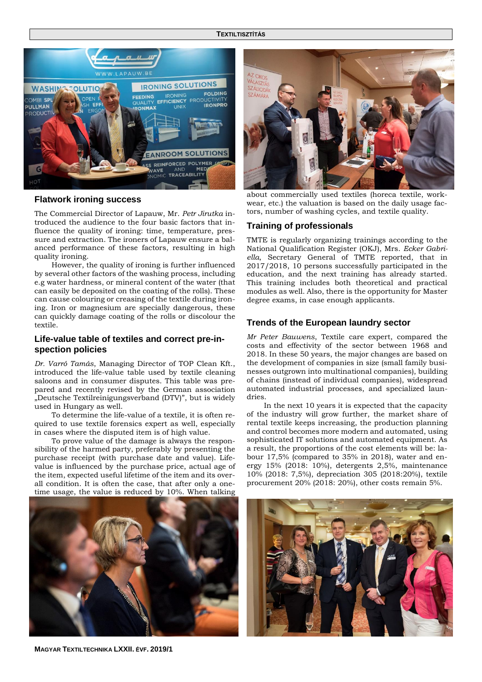

#### **Flatwork ironing success**

The Commercial Director of Lapauw, Mr. *Petr Jirutka* introduced the audience to the four basic factors that influence the quality of ironing: time, temperature, pressure and extraction. The ironers of Lapauw ensure a balanced performance of these factors, resulting in high quality ironing.

However, the quality of ironing is further influenced by several other factors of the washing process, including e.g water hardness, or mineral content of the water (that can easily be deposited on the coating of the rolls). These can cause colouring or creasing of the textile during ironing. Iron or magnesium are specially dangerous, these can quickly damage coating of the rolls or discolour the textile.

#### **Life-value table of textiles and correct pre-inspection policies**

*Dr. Varró Tamás*, Managing Director of TOP Clean Kft., introduced the life-value table used by textile cleaning saloons and in consumer disputes. This table was prepared and recently revised by the German association "Deutsche Textilreinigungsverband (DTV)", but is widely used in Hungary as well.

To determine the life-value of a textile, it is often required to use textile forensics expert as well, especially in cases where the disputed item is of high value.

To prove value of the damage is always the responsibility of the harmed party, preferably by presenting the purchase receipt (with purchase date and value). Lifevalue is influenced by the purchase price, actual age of the item, expected useful lifetime of the item and its overall condition. It is often the case, that after only a onetime usage, the value is reduced by 10%. When talking



about commercially used textiles (horeca textile, workwear, etc.) the valuation is based on the daily usage factors, number of washing cycles, and textile quality.

#### **Training of professionals**

TMTE is regularly organizing trainings according to the National Qualification Register (OKJ), Mrs. *Ecker Gabriella*, Secretary General of TMTE reported, that in 2017/2018, 10 persons successfully participated in the education, and the next training has already started. This training includes both theoretical and practical modules as well. Also, there is the opportunity for Master degree exams, in case enough applicants.

#### **Trends of the European laundry sector**

*Mr Peter Bauwens*, Textile care expert, compared the costs and effectivity of the sector between 1968 and 2018. In these 50 years, the major changes are based on the development of companies in size (small family businesses outgrown into multinational companies), building of chains (instead of individual companies), widespread automated industrial processes, and specialized laundries.

In the next 10 years it is expected that the capacity of the industry will grow further, the market share of rental textile keeps increasing, the production planning and control becomes more modern and automated, using sophisticated IT solutions and automated equipment. As a result, the proportions of the cost elements will be: labour 17,5% (compared to 35% in 2018), water and energy 15% (2018: 10%), detergents 2,5%, maintenance 10% (2018: 7,5%), depreciation 305 (2018:20%), textile procurement 20% (2018: 20%), other costs remain 5%.



**MAGYAR TEXTILTECHNIKA LXXII. ÉVF. 2019/1**